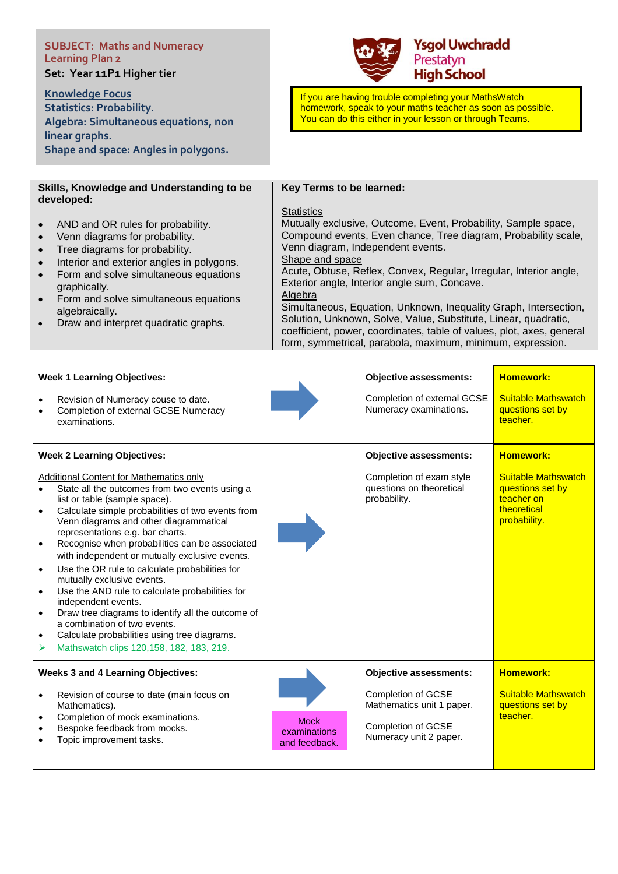# **SUBJECT: Maths and Numeracy Learning Plan 2**

**Set: Year 11P1 Higher tier** 

### **Knowledge Focus**

**Statistics: Probability. Algebra: Simultaneous equations, non linear graphs. Shape and space: Angles in polygons.**

## **Ysgol Uwchradd** Prestatyn **High School**

If you are having trouble completing your MathsWatch homework, speak to your maths teacher as soon as possible. You can do this either in your lesson or through Teams.

#### **Skills, Knowledge and Understanding to be developed:**

- AND and OR rules for probability.
- Venn diagrams for probability.
- Tree diagrams for probability.
- Interior and exterior angles in polygons.
- Form and solve simultaneous equations graphically.
- Form and solve simultaneous equations algebraically.
- Draw and interpret quadratic graphs.

### **Key Terms to be learned:**

### **Statistics**

Mutually exclusive, Outcome, Event, Probability, Sample space, Compound events, Even chance, Tree diagram, Probability scale, Venn diagram, Independent events.

Shape and space

Acute, Obtuse, Reflex, Convex, Regular, Irregular, Interior angle, Exterior angle, Interior angle sum, Concave. Algebra

Simultaneous, Equation, Unknown, Inequality Graph, Intersection, Solution, Unknown, Solve, Value, Substitute, Linear, quadratic, coefficient, power, coordinates, table of values, plot, axes, general form, symmetrical, parabola, maximum, minimum, expression.

| <b>Week 1 Learning Objectives:</b>                                                                                                                                                                                                                                                                                                                                                                                                                                                                                                                                                                                                                                                                                                                         |                                              | <b>Objective assessments:</b>                                                                   | <b>Homework:</b>                                                                            |
|------------------------------------------------------------------------------------------------------------------------------------------------------------------------------------------------------------------------------------------------------------------------------------------------------------------------------------------------------------------------------------------------------------------------------------------------------------------------------------------------------------------------------------------------------------------------------------------------------------------------------------------------------------------------------------------------------------------------------------------------------------|----------------------------------------------|-------------------------------------------------------------------------------------------------|---------------------------------------------------------------------------------------------|
| Revision of Numeracy couse to date.<br>Completion of external GCSE Numeracy<br>examinations.                                                                                                                                                                                                                                                                                                                                                                                                                                                                                                                                                                                                                                                               |                                              | Completion of external GCSE<br>Numeracy examinations.                                           | <b>Suitable Mathswatch</b><br>questions set by<br>teacher.                                  |
| <b>Week 2 Learning Objectives:</b>                                                                                                                                                                                                                                                                                                                                                                                                                                                                                                                                                                                                                                                                                                                         |                                              | <b>Objective assessments:</b>                                                                   | <b>Homework:</b>                                                                            |
| <b>Additional Content for Mathematics only</b><br>State all the outcomes from two events using a<br>list or table (sample space).<br>Calculate simple probabilities of two events from<br>$\bullet$<br>Venn diagrams and other diagrammatical<br>representations e.g. bar charts.<br>Recognise when probabilities can be associated<br>$\bullet$<br>with independent or mutually exclusive events.<br>Use the OR rule to calculate probabilities for<br>mutually exclusive events.<br>Use the AND rule to calculate probabilities for<br>independent events.<br>Draw tree diagrams to identify all the outcome of<br>$\bullet$<br>a combination of two events.<br>Calculate probabilities using tree diagrams.<br>Mathswatch clips 120,158, 182, 183, 219. |                                              | Completion of exam style<br>questions on theoretical<br>probability.                            | <b>Suitable Mathswatch</b><br>questions set by<br>teacher on<br>theoretical<br>probability. |
| <b>Weeks 3 and 4 Learning Objectives:</b>                                                                                                                                                                                                                                                                                                                                                                                                                                                                                                                                                                                                                                                                                                                  |                                              | <b>Objective assessments:</b>                                                                   | <b>Homework:</b>                                                                            |
| Revision of course to date (main focus on<br>Mathematics).<br>Completion of mock examinations.<br>Bespoke feedback from mocks.<br>Topic improvement tasks.                                                                                                                                                                                                                                                                                                                                                                                                                                                                                                                                                                                                 | <b>Mock</b><br>examinations<br>and feedback. | Completion of GCSE<br>Mathematics unit 1 paper.<br>Completion of GCSE<br>Numeracy unit 2 paper. | <b>Suitable Mathswatch</b><br>questions set by<br>teacher.                                  |